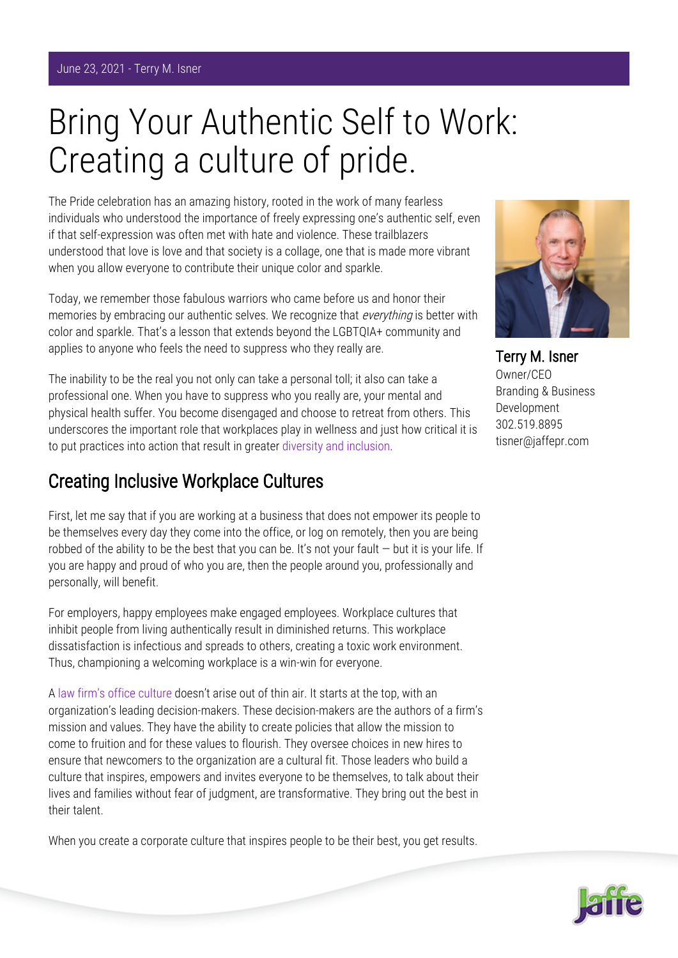## Bring Your Authentic Self to Work: Creating a culture of pride.

The Pride celebration has an amazing history, rooted in the work of many fearless individuals who understood the importance of freely expressing one's authentic self, even if that self-expression was often met with hate and violence. These trailblazers understood that love is love and that society is a collage, one that is made more vibrant when you allow everyone to contribute their unique color and sparkle.

Today, we remember those fabulous warriors who came before us and honor their memories by embracing our authentic selves. We recognize that *everything* is better with color and sparkle. That's a lesson that extends beyond the LGBTQIA+ community and applies to anyone who feels the need to suppress who they really are.

The inability to be the real you not only can take a personal toll; it also can take a professional one. When you have to suppress who you really are, your mental and physical health suffer. You become disengaged and choose to retreat from others. This underscores the important role that workplaces play in wellness and just how critical it is to put practices into action that result in greater [diversity and inclusion.](https://www.jaffepr.com/blog/promoting-diversity-among-law-firm-marketing-departments)

## Creating Inclusive Workplace Cultures

First, let me say that if you are working at a business that does not empower its people to be themselves every day they come into the office, or log on remotely, then you are being robbed of the ability to be the best that you can be. It's not your fault  $-$  but it is your life. If you are happy and proud of who you are, then the people around you, professionally and personally, will benefit.

For employers, happy employees make engaged employees. Workplace cultures that inhibit people from living authentically result in diminished returns. This workplace dissatisfaction is infectious and spreads to others, creating a toxic work environment. Thus, championing a welcoming workplace is a win-win for everyone.

A [law firm's office culture](https://www.jaffepr.com/blog/culture-club-don-t-underestimate-power-law-firm-s-culture) doesn't arise out of thin air. It starts at the top, with an organization's leading decision-makers. These decision-makers are the authors of a firm's mission and values. They have the ability to create policies that allow the mission to come to fruition and for these values to flourish. They oversee choices in new hires to ensure that newcomers to the organization are a cultural fit. Those leaders who build a culture that inspires, empowers and invites everyone to be themselves, to talk about their lives and families without fear of judgment, are transformative. They bring out the best in their talent.

When you create a corporate culture that inspires people to be their best, you get results.



Terry M. Isner Owner/CEO Branding & Business Development 302.519.8895 tisner@jaffepr.com